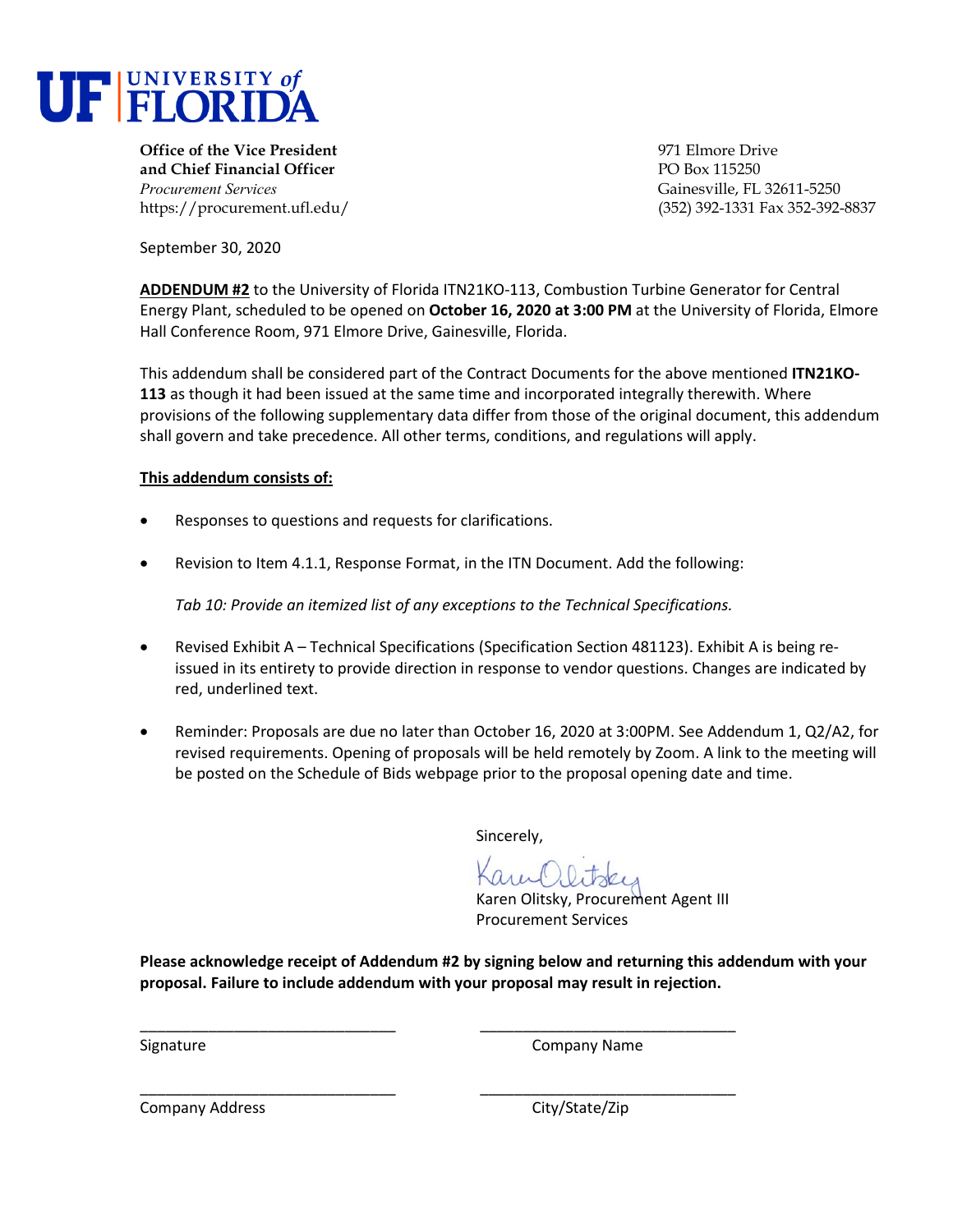

**Office of the Vice President** entertainment of the Vice President entertainment of the Vice Prive **and Chief Financial Officer PO Box 115250** *Procurement Services* Gainesville, FL 32611-5250

https://procurement.ufl.edu/ (352) 392-1331 Fax 352-392-8837

September 30, 2020

**ADDENDUM #2** to the University of Florida ITN21KO-113, Combustion Turbine Generator for Central Energy Plant, scheduled to be opened on **October 16, 2020 at 3:00 PM** at the University of Florida, Elmore Hall Conference Room, 971 Elmore Drive, Gainesville, Florida.

This addendum shall be considered part of the Contract Documents for the above mentioned **ITN21KO-113** as though it had been issued at the same time and incorporated integrally therewith. Where provisions of the following supplementary data differ from those of the original document, this addendum shall govern and take precedence. All other terms, conditions, and regulations will apply.

## **This addendum consists of:**

- Responses to questions and requests for clarifications.
- Revision to Item 4.1.1, Response Format, in the ITN Document. Add the following:

*Tab 10: Provide an itemized list of any exceptions to the Technical Specifications.*

- Revised Exhibit A Technical Specifications (Specification Section 481123). Exhibit A is being reissued in its entirety to provide direction in response to vendor questions. Changes are indicated by red, underlined text.
- Reminder: Proposals are due no later than October 16, 2020 at 3:00PM. See Addendum 1, Q2/A2, for revised requirements. Opening of proposals will be held remotely by Zoom. A link to the meeting will be posted on the Schedule of Bids webpage prior to the proposal opening date and time.

Sincerely,

Karen Olitsky, Procurement Agent III Procurement Services

**Please acknowledge receipt of Addendum #2 by signing below and returning this addendum with your proposal. Failure to include addendum with your proposal may result in rejection.** 

\_\_\_\_\_\_\_\_\_\_\_\_\_\_\_\_\_\_\_\_\_\_\_\_\_\_\_\_\_\_ \_\_\_\_\_\_\_\_\_\_\_\_\_\_\_\_\_\_\_\_\_\_\_\_\_\_\_\_\_\_

\_\_\_\_\_\_\_\_\_\_\_\_\_\_\_\_\_\_\_\_\_\_\_\_\_\_\_\_\_\_ \_\_\_\_\_\_\_\_\_\_\_\_\_\_\_\_\_\_\_\_\_\_\_\_\_\_\_\_\_\_

Signature **Company Name** Company Name **Company** Name

Company Address Company Address City/State/Zip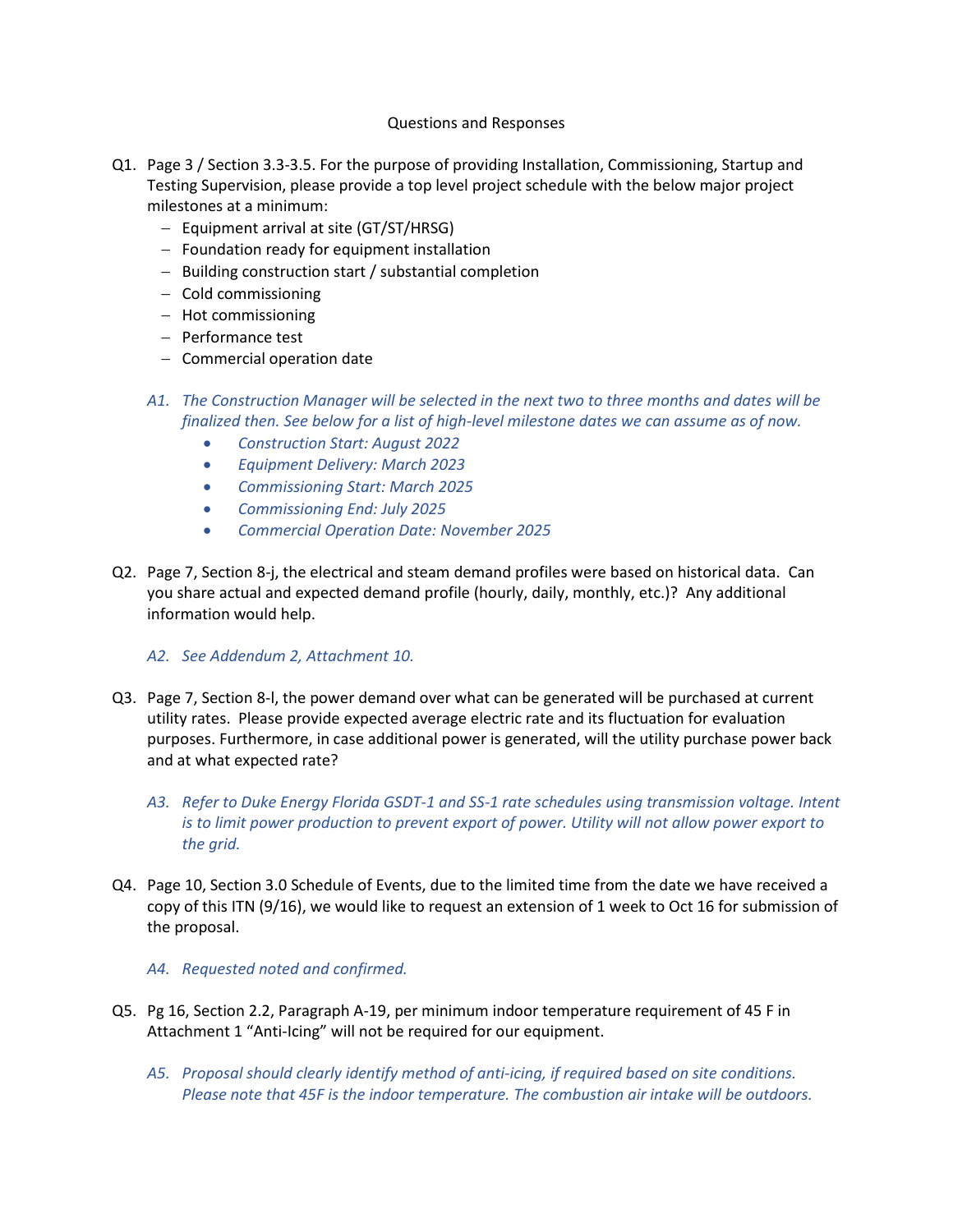## Questions and Responses

- Q1. Page 3 / Section 3.3-3.5. For the purpose of providing Installation, Commissioning, Startup and Testing Supervision, please provide a top level project schedule with the below major project milestones at a minimum:
	- − Equipment arrival at site (GT/ST/HRSG)
	- − Foundation ready for equipment installation
	- − Building construction start / substantial completion
	- − Cold commissioning
	- − Hot commissioning
	- − Performance test
	- − Commercial operation date
	- *A1. The Construction Manager will be selected in the next two to three months and dates will be finalized then. See below for a list of high-level milestone dates we can assume as of now.*
		- *Construction Start: August 2022*
		- *Equipment Delivery: March 2023*
		- *Commissioning Start: March 2025*
		- *Commissioning End: July 2025*
		- *Commercial Operation Date: November 2025*
- Q2. Page 7, Section 8-j, the electrical and steam demand profiles were based on historical data. Can you share actual and expected demand profile (hourly, daily, monthly, etc.)? Any additional information would help.

## *A2. See Addendum 2, Attachment 10.*

- Q3. Page 7, Section 8-l, the power demand over what can be generated will be purchased at current utility rates. Please provide expected average electric rate and its fluctuation for evaluation purposes. Furthermore, in case additional power is generated, will the utility purchase power back and at what expected rate?
	- *A3. Refer to Duke Energy Florida GSDT-1 and SS-1 rate schedules using transmission voltage. Intent is to limit power production to prevent export of power. Utility will not allow power export to the grid.*
- Q4. Page 10, Section 3.0 Schedule of Events, due to the limited time from the date we have received a copy of this ITN (9/16), we would like to request an extension of 1 week to Oct 16 for submission of the proposal.

## *A4. Requested noted and confirmed.*

- Q5. Pg 16, Section 2.2, Paragraph A-19, per minimum indoor temperature requirement of 45 F in Attachment 1 "Anti-Icing" will not be required for our equipment.
	- *A5. Proposal should clearly identify method of anti-icing, if required based on site conditions. Please note that 45F is the indoor temperature. The combustion air intake will be outdoors.*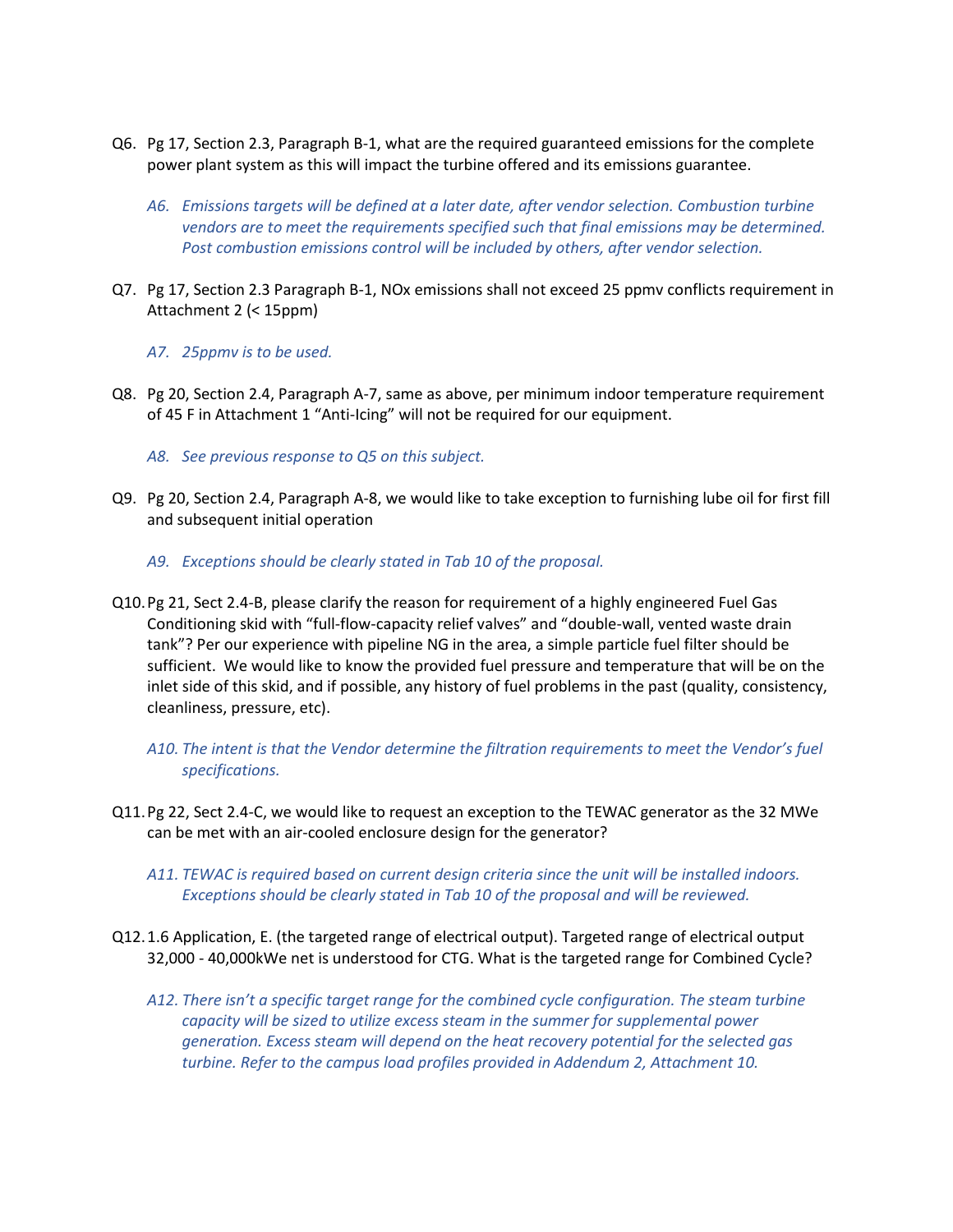- Q6. Pg 17, Section 2.3, Paragraph B-1, what are the required guaranteed emissions for the complete power plant system as this will impact the turbine offered and its emissions guarantee.
	- *A6. Emissions targets will be defined at a later date, after vendor selection. Combustion turbine vendors are to meet the requirements specified such that final emissions may be determined. Post combustion emissions control will be included by others, after vendor selection.*
- Q7. Pg 17, Section 2.3 Paragraph B-1, NOx emissions shall not exceed 25 ppmv conflicts requirement in Attachment 2 (< 15ppm)
	- *A7. 25ppmv is to be used.*
- Q8. Pg 20, Section 2.4, Paragraph A-7, same as above, per minimum indoor temperature requirement of 45 F in Attachment 1 "Anti-Icing" will not be required for our equipment.
	- *A8. See previous response to Q5 on this subject.*
- Q9. Pg 20, Section 2.4, Paragraph A-8, we would like to take exception to furnishing lube oil for first fill and subsequent initial operation
	- *A9. Exceptions should be clearly stated in Tab 10 of the proposal.*
- Q10.Pg 21, Sect 2.4-B, please clarify the reason for requirement of a highly engineered Fuel Gas Conditioning skid with "full-flow-capacity relief valves" and "double-wall, vented waste drain tank"? Per our experience with pipeline NG in the area, a simple particle fuel filter should be sufficient. We would like to know the provided fuel pressure and temperature that will be on the inlet side of this skid, and if possible, any history of fuel problems in the past (quality, consistency, cleanliness, pressure, etc).
	- *A10. The intent is that the Vendor determine the filtration requirements to meet the Vendor's fuel specifications.*
- Q11.Pg 22, Sect 2.4-C, we would like to request an exception to the TEWAC generator as the 32 MWe can be met with an air-cooled enclosure design for the generator?
	- *A11. TEWAC is required based on current design criteria since the unit will be installed indoors. Exceptions should be clearly stated in Tab 10 of the proposal and will be reviewed.*
- Q12.1.6 Application, E. (the targeted range of electrical output). Targeted range of electrical output 32,000 - 40,000kWe net is understood for CTG. What is the targeted range for Combined Cycle?
	- *A12. There isn't a specific target range for the combined cycle configuration. The steam turbine capacity will be sized to utilize excess steam in the summer for supplemental power generation. Excess steam will depend on the heat recovery potential for the selected gas turbine. Refer to the campus load profiles provided in Addendum 2, Attachment 10.*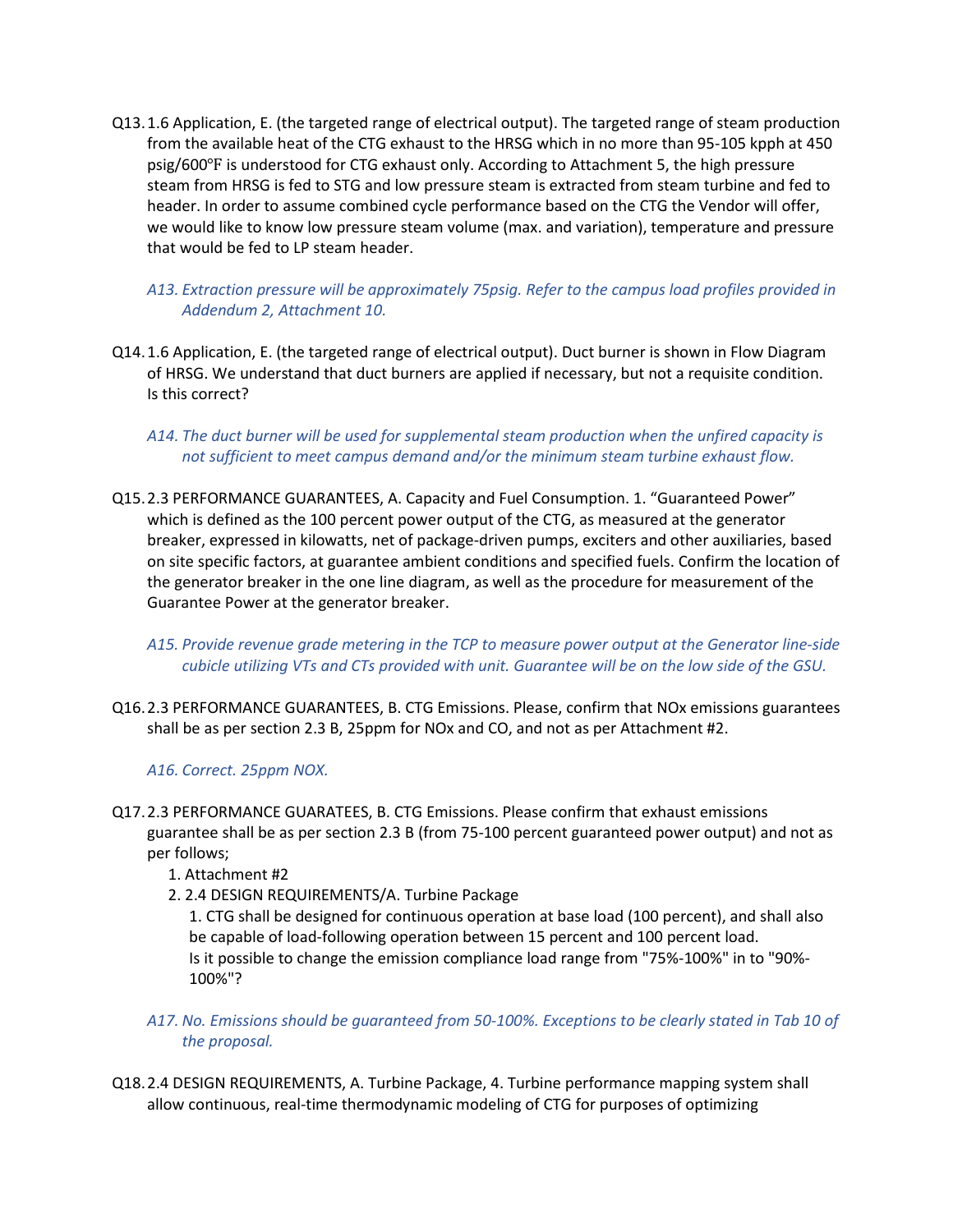- Q13.1.6 Application, E. (the targeted range of electrical output). The targeted range of steam production from the available heat of the CTG exhaust to the HRSG which in no more than 95-105 kpph at 450 psig/600℉ is understood for CTG exhaust only. According to Attachment 5, the high pressure steam from HRSG is fed to STG and low pressure steam is extracted from steam turbine and fed to header. In order to assume combined cycle performance based on the CTG the Vendor will offer, we would like to know low pressure steam volume (max. and variation), temperature and pressure that would be fed to LP steam header.
	- *A13. Extraction pressure will be approximately 75psig. Refer to the campus load profiles provided in Addendum 2, Attachment 10.*
- Q14.1.6 Application, E. (the targeted range of electrical output). Duct burner is shown in Flow Diagram of HRSG. We understand that duct burners are applied if necessary, but not a requisite condition. Is this correct?
	- *A14. The duct burner will be used for supplemental steam production when the unfired capacity is not sufficient to meet campus demand and/or the minimum steam turbine exhaust flow.*
- Q15.2.3 PERFORMANCE GUARANTEES, A. Capacity and Fuel Consumption. 1. "Guaranteed Power" which is defined as the 100 percent power output of the CTG, as measured at the generator breaker, expressed in kilowatts, net of package-driven pumps, exciters and other auxiliaries, based on site specific factors, at guarantee ambient conditions and specified fuels. Confirm the location of the generator breaker in the one line diagram, as well as the procedure for measurement of the Guarantee Power at the generator breaker.
	- *A15. Provide revenue grade metering in the TCP to measure power output at the Generator line-side cubicle utilizing VTs and CTs provided with unit. Guarantee will be on the low side of the GSU.*
- Q16.2.3 PERFORMANCE GUARANTEES, B. CTG Emissions. Please, confirm that NOx emissions guarantees shall be as per section 2.3 B, 25ppm for NOx and CO, and not as per Attachment #2.

*A16. Correct. 25ppm NOX.* 

- Q17.2.3 PERFORMANCE GUARATEES, B. CTG Emissions. Please confirm that exhaust emissions guarantee shall be as per section 2.3 B (from 75-100 percent guaranteed power output) and not as per follows;
	- 1. Attachment #2
	- 2. 2.4 DESIGN REQUIREMENTS/A. Turbine Package

1. CTG shall be designed for continuous operation at base load (100 percent), and shall also be capable of load-following operation between 15 percent and 100 percent load. Is it possible to change the emission compliance load range from "75%-100%" in to "90%- 100%"?

- *A17. No. Emissions should be guaranteed from 50-100%. Exceptions to be clearly stated in Tab 10 of the proposal.*
- Q18.2.4 DESIGN REQUIREMENTS, A. Turbine Package, 4. Turbine performance mapping system shall allow continuous, real-time thermodynamic modeling of CTG for purposes of optimizing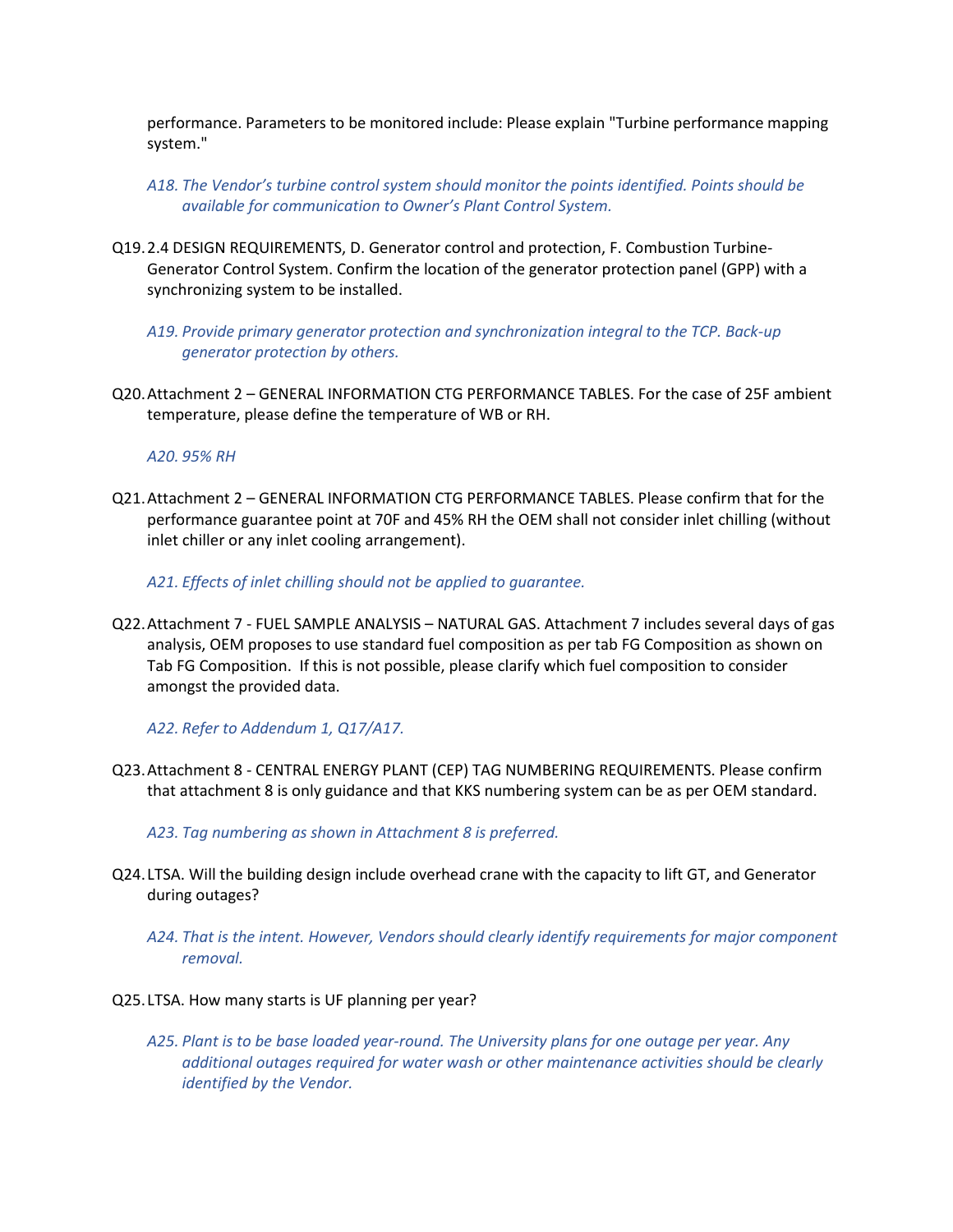performance. Parameters to be monitored include: Please explain "Turbine performance mapping system."

- *A18. The Vendor's turbine control system should monitor the points identified. Points should be available for communication to Owner's Plant Control System.*
- Q19.2.4 DESIGN REQUIREMENTS, D. Generator control and protection, F. Combustion Turbine-Generator Control System. Confirm the location of the generator protection panel (GPP) with a synchronizing system to be installed.
	- *A19. Provide primary generator protection and synchronization integral to the TCP. Back-up generator protection by others.*
- Q20.Attachment 2 GENERAL INFORMATION CTG PERFORMANCE TABLES. For the case of 25F ambient temperature, please define the temperature of WB or RH.

*A20. 95% RH* 

Q21.Attachment 2 – GENERAL INFORMATION CTG PERFORMANCE TABLES. Please confirm that for the performance guarantee point at 70F and 45% RH the OEM shall not consider inlet chilling (without inlet chiller or any inlet cooling arrangement).

*A21. Effects of inlet chilling should not be applied to guarantee.* 

Q22.Attachment 7 - FUEL SAMPLE ANALYSIS – NATURAL GAS. Attachment 7 includes several days of gas analysis, OEM proposes to use standard fuel composition as per tab FG Composition as shown on Tab FG Composition. If this is not possible, please clarify which fuel composition to consider amongst the provided data.

*A22. Refer to Addendum 1, Q17/A17.*

- Q23.Attachment 8 CENTRAL ENERGY PLANT (CEP) TAG NUMBERING REQUIREMENTS. Please confirm that attachment 8 is only guidance and that KKS numbering system can be as per OEM standard.
	- *A23. Tag numbering as shown in Attachment 8 is preferred.*
- Q24.LTSA. Will the building design include overhead crane with the capacity to lift GT, and Generator during outages?
	- *A24. That is the intent. However, Vendors should clearly identify requirements for major component removal.*
- Q25.LTSA. How many starts is UF planning per year?
	- *A25. Plant is to be base loaded year-round. The University plans for one outage per year. Any additional outages required for water wash or other maintenance activities should be clearly identified by the Vendor.*